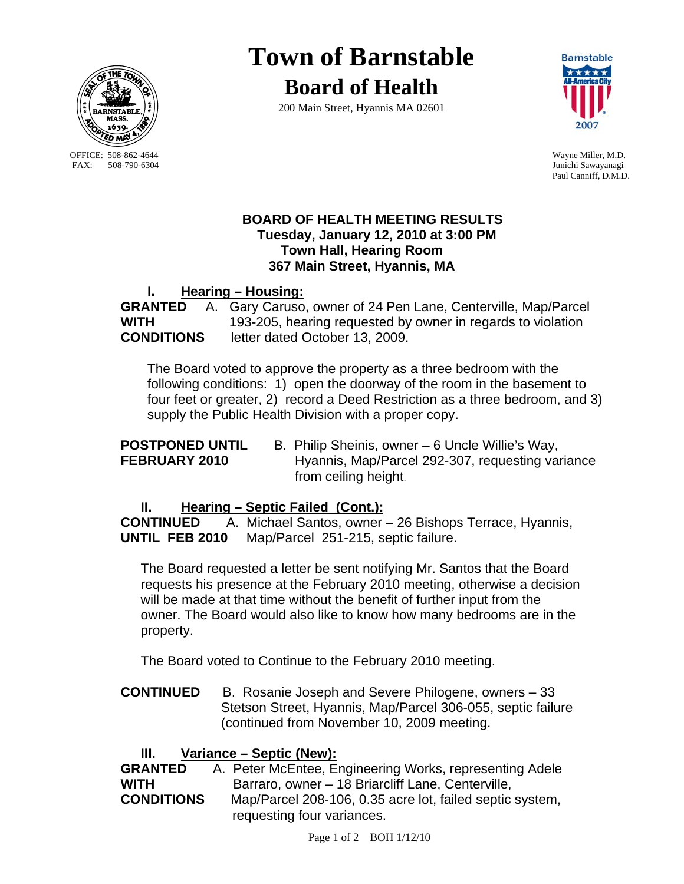

OFFICE: 508-862-4644 Wayne Miller, M.D.<br>
FAX: 508-790-6304 Iunichi Sawayanagi

# **Town of Barnstable**

**Board of Health**

200 Main Street, Hyannis MA 02601



Junichi Sawayanagi Paul Canniff, D.M.D.

#### **BOARD OF HEALTH MEETING RESULTS Tuesday, January 12, 2010 at 3:00 PM Town Hall, Hearing Room 367 Main Street, Hyannis, MA**

## **I. Hearing – Housing:**

**GRANTED** A. Gary Caruso, owner of 24 Pen Lane, Centerville, Map/Parcel **WITH** 193-205, hearing requested by owner in regards to violation **CONDITIONS** letter dated October 13, 2009.

The Board voted to approve the property as a three bedroom with the following conditions: 1) open the doorway of the room in the basement to four feet or greater, 2) record a Deed Restriction as a three bedroom, and 3) supply the Public Health Division with a proper copy.

| <b>POSTPONED UNTIL</b> | B. Philip Sheinis, owner – 6 Uncle Willie's Way, |
|------------------------|--------------------------------------------------|
| FEBRUARY 2010          | Hyannis, Map/Parcel 292-307, requesting variance |
|                        | from ceiling height.                             |

## **II. Hearing – Septic Failed (Cont.):**

**CONTINUED** A. Michael Santos, owner – 26 Bishops Terrace, Hyannis, **UNTIL FEB 2010** Map/Parcel 251-215, septic failure.

The Board requested a letter be sent notifying Mr. Santos that the Board requests his presence at the February 2010 meeting, otherwise a decision will be made at that time without the benefit of further input from the owner. The Board would also like to know how many bedrooms are in the property.

The Board voted to Continue to the February 2010 meeting.

**CONTINUED** B. Rosanie Joseph and Severe Philogene, owners – 33 Stetson Street, Hyannis, Map/Parcel 306-055, septic failure (continued from November 10, 2009 meeting.

# **III. Variance – Septic (New):**

| <b>GRANTED</b>    | A. Peter McEntee, Engineering Works, representing Adele  |
|-------------------|----------------------------------------------------------|
| <b>WITH</b>       | Barraro, owner - 18 Briarcliff Lane, Centerville,        |
| <b>CONDITIONS</b> | Map/Parcel 208-106, 0.35 acre lot, failed septic system, |
|                   | requesting four variances.                               |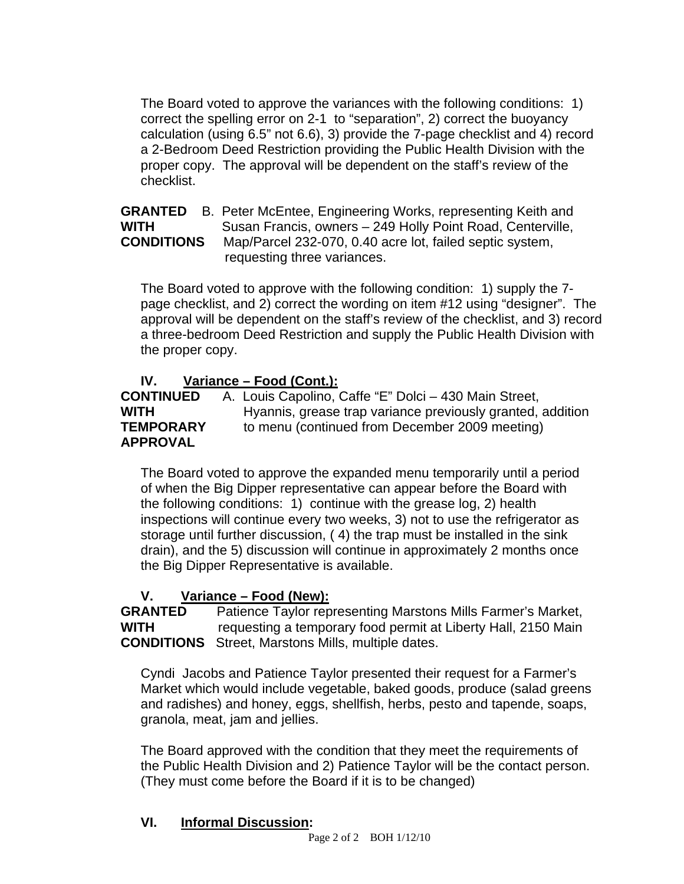The Board voted to approve the variances with the following conditions: 1) correct the spelling error on 2-1 to "separation", 2) correct the buoyancy calculation (using 6.5" not 6.6), 3) provide the 7-page checklist and 4) record a 2-Bedroom Deed Restriction providing the Public Health Division with the proper copy. The approval will be dependent on the staff's review of the checklist.

**GRANTED** B. Peter McEntee, Engineering Works, representing Keith and WITH Susan Francis, owners - 249 Holly Point Road, Centerville, **CONDITIONS** Map/Parcel 232-070, 0.40 acre lot, failed septic system, requesting three variances.

The Board voted to approve with the following condition: 1) supply the 7 page checklist, and 2) correct the wording on item #12 using "designer". The approval will be dependent on the staff's review of the checklist, and 3) record a three-bedroom Deed Restriction and supply the Public Health Division with the proper copy.

## **IV. Variance – Food (Cont.):**

**CONTINUED** A. Louis Capolino, Caffe "E" Dolci – 430 Main Street, **WITH Hyannis, grease trap variance previously granted, addition TEMPORARY** to menu (continued from December 2009 meeting) **APPROVAL**

The Board voted to approve the expanded menu temporarily until a period of when the Big Dipper representative can appear before the Board with the following conditions: 1) continue with the grease log, 2) health inspections will continue every two weeks, 3) not to use the refrigerator as storage until further discussion, ( 4) the trap must be installed in the sink drain), and the 5) discussion will continue in approximately 2 months once the Big Dipper Representative is available.

#### **V. Variance – Food (New):**

**GRANTED** Patience Taylor representing Marstons Mills Farmer's Market, **WITH** requesting a temporary food permit at Liberty Hall, 2150 Main **CONDITIONS** Street, Marstons Mills, multiple dates.

Cyndi Jacobs and Patience Taylor presented their request for a Farmer's Market which would include vegetable, baked goods, produce (salad greens and radishes) and honey, eggs, shellfish, herbs, pesto and tapende, soaps, granola, meat, jam and jellies.

The Board approved with the condition that they meet the requirements of the Public Health Division and 2) Patience Taylor will be the contact person. (They must come before the Board if it is to be changed)

## **VI. Informal Discussion:**